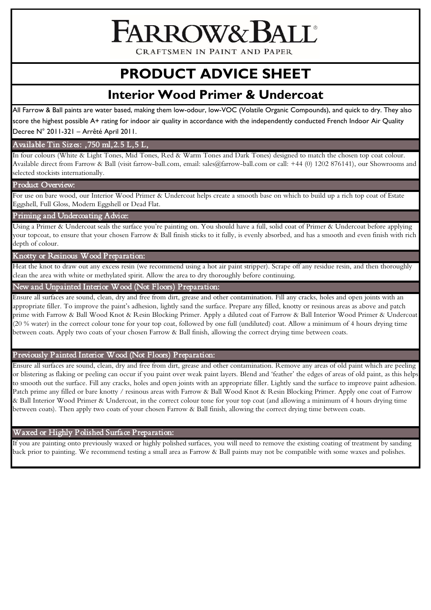FARROW&

CRAFTSMEN IN PAINT AND PAPER

# **PRODUCT ADVICE SHEET**

# **Interior Wood Primer & Undercoat**

All Farrow & Ball paints are water based, making them low-odour, low-VOC (Volatile Organic Compounds), and quick to dry. They also score the highest possible A+ rating for indoor air quality in accordance with the independently conducted French Indoor Air Quality Decree N° 2011-321 – Arrêté April 2011.

# Available Tin Sizes: ,750 ml,2.5 L,5 L,

In four colours (White & Light Tones, Mid Tones, Red & Warm Tones and Dark Tones) designed to match the chosen top coat colour. Available direct from Farrow & Ball (visit farrow-ball.com, email: sales@farrow-ball.com or call: +44 (0) 1202 876141), our Showrooms and selected stockists internationally.

#### Product Overview:

For use on bare wood, our Interior Wood Primer & Undercoat helps create a smooth base on which to build up a rich top coat of Estate Eggshell, Full Gloss, Modern Eggshell or Dead Flat.

#### Priming and Undercoating Advice:

Using a Primer & Undercoat seals the surface you're painting on. You should have a full, solid coat of Primer & Undercoat before applying your topcoat, to ensure that your chosen Farrow & Ball finish sticks to it fully, is evenly absorbed, and has a smooth and even finish with rich depth of colour.

## Knotty or Resinous Wood Preparation:

Heat the knot to draw out any excess resin (we recommend using a hot air paint stripper). Scrape off any residue resin, and then thoroughly clean the area with white or methylated spirit. Allow the area to dry thoroughly before continuing.

#### New and Unpainted Interior Wood (Not Floors) Preparation:

Ensure all surfaces are sound, clean, dry and free from dirt, grease and other contamination. Fill any cracks, holes and open joints with an appropriate filler. To improve the paint's adhesion, lightly sand the surface. Prepare any filled, knotty or resinous areas as above and patch prime with Farrow & Ball Wood Knot & Resin Blocking Primer. Apply a diluted coat of Farrow & Ball Interior Wood Primer & Undercoat (20 % water) in the correct colour tone for your top coat, followed by one full (undiluted) coat. Allow a minimum of 4 hours drying time between coats. Apply two coats of your chosen Farrow & Ball finish, allowing the correct drying time between coats.

## Previously Painted Interior Wood (Not Floors) Preparation:

Ensure all surfaces are sound, clean, dry and free from dirt, grease and other contamination. Remove any areas of old paint which are peeling or blistering as flaking or peeling can occur if you paint over weak paint layers. Blend and 'feather' the edges of areas of old paint, as this helps to smooth out the surface. Fill any cracks, holes and open joints with an appropriate filler. Lightly sand the surface to improve paint adhesion. Patch prime any filled or bare knotty / resinous areas with Farrow & Ball Wood Knot & Resin Blocking Primer. Apply one coat of Farrow & Ball Interior Wood Primer & Undercoat, in the correct colour tone for your top coat (and allowing a minimum of 4 hours drying time between coats). Then apply two coats of your chosen Farrow & Ball finish, allowing the correct drying time between coats.

#### Waxed or Highly Polished Surface Preparation:

If you are painting onto previously waxed or highly polished surfaces, you will need to remove the existing coating of treatment by sanding back prior to painting. We recommend testing a small area as Farrow & Ball paints may not be compatible with some waxes and polishes.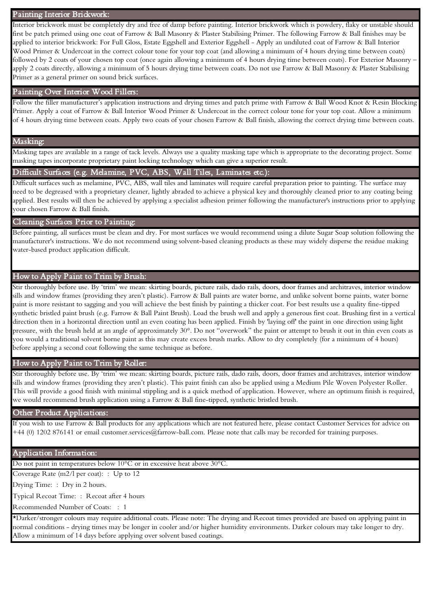#### Painting Interior Brickwork:

Interior brickwork must be completely dry and free of damp before painting. Interior brickwork which is powdery, flaky or unstable should first be patch primed using one coat of Farrow & Ball Masonry & Plaster Stabilising Primer. The following Farrow & Ball finishes may be applied to interior brickwork: For Full Gloss, Estate Eggshell and Exterior Eggshell - Apply an undiluted coat of Farrow & Ball Interior Wood Primer & Undercoat in the correct colour tone for your top coat (and allowing a minimum of 4 hours drying time between coats) followed by 2 coats of your chosen top coat (once again allowing a minimum of 4 hours drying time between coats). For Exterior Masonry apply 2 coats directly, allowing a minimum of 5 hours drying time between coats. Do not use Farrow & Ball Masonry & Plaster Stabilising Primer as a general primer on sound brick surfaces.

#### Painting Over Interior Wood Fillers:

Follow the filler manufacturer's application instructions and drying times and patch prime with Farrow & Ball Wood Knot & Resin Blocking Primer. Apply a coat of Farrow & Ball Interior Wood Primer & Undercoat in the correct colour tone for your top coat. Allow a minimum of 4 hours drying time between coats. Apply two coats of your chosen Farrow & Ball finish, allowing the correct drying time between coats.

# Masking:

Masking tapes are available in a range of tack levels. Always use a quality masking tape which is appropriate to the decorating project. Some masking tapes incorporate proprietary paint locking technology which can give a superior result.

#### Difficult Surfaces (e.g. Melamine, PVC, ABS, Wall Tiles, Laminates etc.):

Difficult surfaces such as melamine, PVC, ABS, wall tiles and laminates will require careful preparation prior to painting. The surface may need to be degreased with a proprietary cleaner, lightly abraded to achieve a physical key and thoroughly cleaned prior to any coating being applied. Best results will then be achieved by applying a specialist adhesion primer following the manufacturer's instructions prior to applying your chosen Farrow & Ball finish.

#### Cleaning Surfaces Prior to Painting:

Before painting, all surfaces must be clean and dry. For most surfaces we would recommend using a dilute Sugar Soap solution following the manufacturer's instructions. We do not recommend using solvent-based cleaning products as these may widely disperse the residue making water-based product application difficult.

#### How to Apply Paint to Trim by Brush:

Stir thoroughly before use. By 'trim' we mean: skirting boards, picture rails, dado rails, doors, door frames and architraves, interior window sills and window frames (providing they aren't plastic). Farrow & Ball paints are water borne, and unlike solvent borne paints, water borne paint is more resistant to sagging and you will achieve the best finish by painting a thicker coat. For best results use a quality fine-tipped synthetic bristled paint brush (e.g. Farrow & Ball Paint Brush). Load the brush well and apply a generous first coat. Brushing first in a vertical direction then in a horizontal direction until an even coating has been applied. Finish by 'laying off' the paint in one direction using light pressure, with the brush held at an angle of approximately 30°. Do not "overwork" the paint or attempt to brush it out in thin even coats as you would a traditional solvent borne paint as this may create excess brush marks. Allow to dry completely (for a minimum of 4 hours) before applying a second coat following the same technique as before.

#### How to Apply Paint to Trim by Roller:

Stir thoroughly before use. By 'trim' we mean: skirting boards, picture rails, dado rails, doors, door frames and architraves, interior window sills and window frames (providing they aren't plastic). This paint finish can also be applied using a Medium Pile Woven Polyester Roller. This will provide a good finish with minimal stippling and is a quick method of application. However, where an optimum finish is required, we would recommend brush application using a Farrow & Ball fine-tipped, synthetic bristled brush.

#### Other Product Applications:

If you wish to use Farrow & Ball products for any applications which are not featured here, please contact Customer Services for advice on +44 (0) 1202 876141 or email customer.services@farrow-ball.com. Please note that calls may be recorded for training purposes.

#### Application Information:

Do not paint in temperatures below 10°C or in excessive heat above 30°C.

Coverage Rate (m2/l per coat): : Up to 12

Drying Time: : Dry in 2 hours.

Typical Recoat Time: : Recoat after 4 hours

Recommended Number of Coats: : 1

\*Darker/stronger colours may require additional coats. Please note: The drying and Recoat times provided are based on applying paint in normal conditions - drying times may be longer in cooler and/or higher humidity environments. Darker colours may take longer to dry. Allow a minimum of 14 days before applying over solvent based coatings.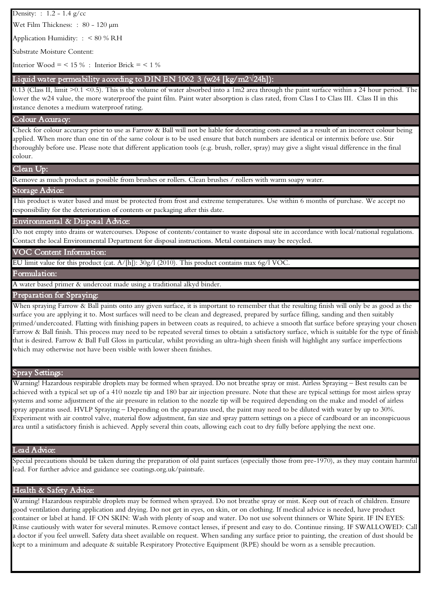Density: : 1.2 - 1.4 g/cc

Wet Film Thickness: : 80 - 120 µm

Application Humidity: : < 80 % RH

Substrate Moisture Content:

Interior Wood = <  $15\%$  : Interior Brick = <  $1\%$ 

# - Liquid water permeability according to DIN EN 1062 3 (w24 [kg/m2**√**24h]):

 lower the w24 value, the more waterproof the paint film. Paint water absorption is class rated, from Class I to Class III. Class II in this 0.13 (Class II, limit >0.1 <0.5). This is the volume of water absorbed into a 1m2 area through the paint surface within a 24 hour period. The instance denotes a medium waterproof rating.

#### Colour Accuracy:

Check for colour accuracy prior to use as Farrow & Ball will not be liable for decorating costs caused as a result of an incorrect colour being applied. When more than one tin of the same colour is to be used ensure that batch numbers are identical or intermix before use. Stir thoroughly before use. Please note that different application tools (e.g. brush, roller, spray) may give a slight visual difference in the final colour.

#### Clean Up:

Remove as much product as possible from brushes or rollers. Clean brushes / rollers with warm soapy water.

#### Storage Advice:

This product is water based and must be protected from frost and extreme temperatures. Use within 6 months of purchase. We accept no responsibility for the deterioration of contents or packaging after this date.

#### Environmental & Disposal Advice:

Do not empty into drains or watercourses. Dispose of contents/container to waste disposal site in accordance with local/national regulations. Contact the local Environmental Department for disposal instructions. Metal containers may be recycled.

#### VOC Content Information:

EU limit value for this product (cat. A/[h]): 30g/l (2010). This product contains max 6g/l VOC.

Formulation:

A water based primer & undercoat made using a traditional alkyd binder.

#### Preparation for Spraying:

When spraying Farrow & Ball paints onto any given surface, it is important to remember that the resulting finish will only be as good as the surface you are applying it to. Most surfaces will need to be clean and degreased, prepared by surface filling, sanding and then suitably primed/undercoated. Flatting with finishing papers in between coats as required, to achieve a smooth flat surface before spraying your chosen Farrow & Ball finish. This process may need to be repeated several times to obtain a satisfactory surface, which is suitable for the type of finish that is desired. Farrow & Ball Full Gloss in particular, whilst providing an ultra-high sheen finish will highlight any surface imperfections which may otherwise not have been visible with lower sheen finishes.

#### Spray Settings:

Warning! Hazardous respirable droplets may be formed when sprayed. Do not breathe spray or mist. Airless Spraying – Best results can be achieved with a typical set up of a 410 nozzle tip and 180 bar air injection pressure. Note that these are typical settings for most airless spray systems and some adjustment of the air pressure in relation to the nozzle tip will be required depending on the make and model of airless spray apparatus used. HVLP Spraying – Depending on the apparatus used, the paint may need to be diluted with water by up to 30%. Experiment with air control valve, material flow adjustment, fan size and spray pattern settings on a piece of cardboard or an inconspicuous area until a satisfactory finish is achieved. Apply several thin coats, allowing each coat to dry fully before applying the next one.

#### Lead Advice:

Special precautions should be taken during the preparation of old paint surfaces (especially those from pre-1970), as they may contain harmful lead. For further advice and guidance see coatings.org.uk/paintsafe.

#### Health & Safety Advice:

Warning! Hazardous respirable droplets may be formed when sprayed. Do not breathe spray or mist. Keep out of reach of children. Ensure good ventilation during application and drying. Do not get in eyes, on skin, or on clothing. If medical advice is needed, have product container or label at hand. IF ON SKIN: Wash with plenty of soap and water. Do not use solvent thinners or White Spirit. IF IN EYES: Rinse cautiously with water for several minutes. Remove contact lenses, if present and easy to do. Continue rinsing. IF SWALLOWED: Call a doctor if you feel unwell. Safety data sheet available on request. When sanding any surface prior to painting, the creation of dust should be kept to a minimum and adequate & suitable Respiratory Protective Equipment (RPE) should be worn as a sensible precaution.